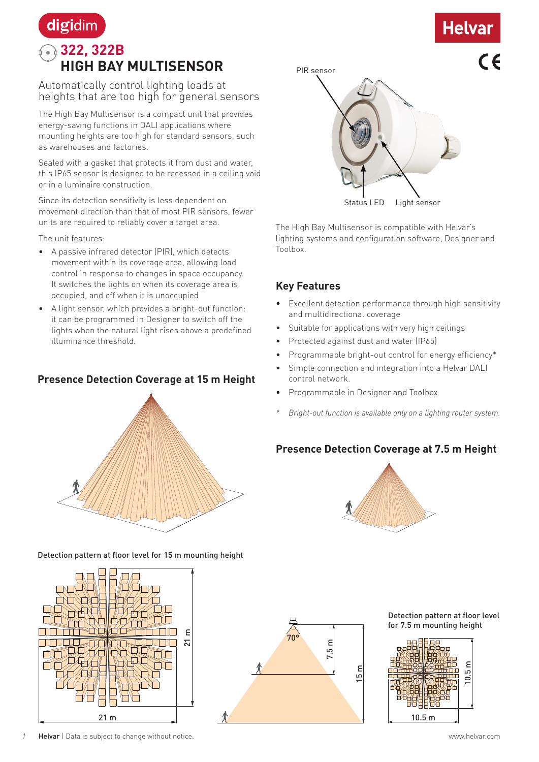# **Helval**

### digidim **322, 322B HIGH BAY MULTISENSOR**

Automatically control lighting loads at heights that are too high for general sensors

The High Bay Multisensor is a compact unit that provides energy-saving functions in DALI applications where mounting heights are too high for standard sensors, such as warehouses and factories.

Sealed with a gasket that protects it from dust and water, this IP65 sensor is designed to be recessed in a ceiling void or in a luminaire construction.

Since its detection sensitivity is less dependent on movement direction than that of most PIR sensors, fewer units are required to reliably cover a target area.

The unit features:

- A passive infrared detector (PIR), which detects movement within its coverage area, allowing load control in response to changes in space occupancy. It switches the lights on when its coverage area is occupied, and off when it is unoccupied
- A light sensor, which provides a bright-out function: it can be programmed in Designer to switch off the lights when the natural light rises above a predefined illuminance threshold.

#### **Presence Detection Coverage at 15 m Height**





Detection pattern at floor level for 15 m mounting height





The High Bay Multisensor is compatible with Helvar's lighting systems and configuration software, Designer and Toolbox.

#### **Key Features**

- Excellent detection performance through high sensitivity and multidirectional coverage
- Suitable for applications with very high ceilings
- Protected against dust and water (IP65)
- Programmable bright-out control for energy efficiency\*
- Simple connection and integration into a Helvar DALI control network.
- Programmable in Designer and Toolbox
- *\* Bright-out function is available only on a lighting router system.*

#### **Presence Detection Coverage at 7.5 m Height**



7.5 m 15 m 70°

Detection pattern at floor level for 7.5 m mounting height